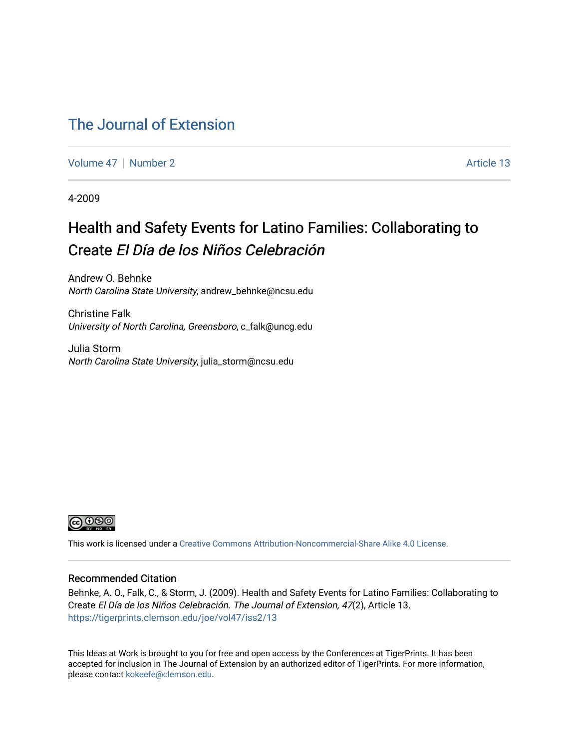#### [The Journal of Extension](https://tigerprints.clemson.edu/joe)

[Volume 47](https://tigerprints.clemson.edu/joe/vol47) | [Number 2](https://tigerprints.clemson.edu/joe/vol47/iss2) Article 13

4-2009

#### Health and Safety Events for Latino Families: Collaborating to Create El Día de los Niños Celebración

Andrew O. Behnke North Carolina State University, andrew\_behnke@ncsu.edu

Christine Falk University of North Carolina, Greensboro, c\_falk@uncg.edu

Julia Storm North Carolina State University, julia\_storm@ncsu.edu



This work is licensed under a [Creative Commons Attribution-Noncommercial-Share Alike 4.0 License.](https://creativecommons.org/licenses/by-nc-sa/4.0/)

#### Recommended Citation

Behnke, A. O., Falk, C., & Storm, J. (2009). Health and Safety Events for Latino Families: Collaborating to Create El Día de los Niños Celebración. The Journal of Extension, 47(2), Article 13. <https://tigerprints.clemson.edu/joe/vol47/iss2/13>

This Ideas at Work is brought to you for free and open access by the Conferences at TigerPrints. It has been accepted for inclusion in The Journal of Extension by an authorized editor of TigerPrints. For more information, please contact [kokeefe@clemson.edu](mailto:kokeefe@clemson.edu).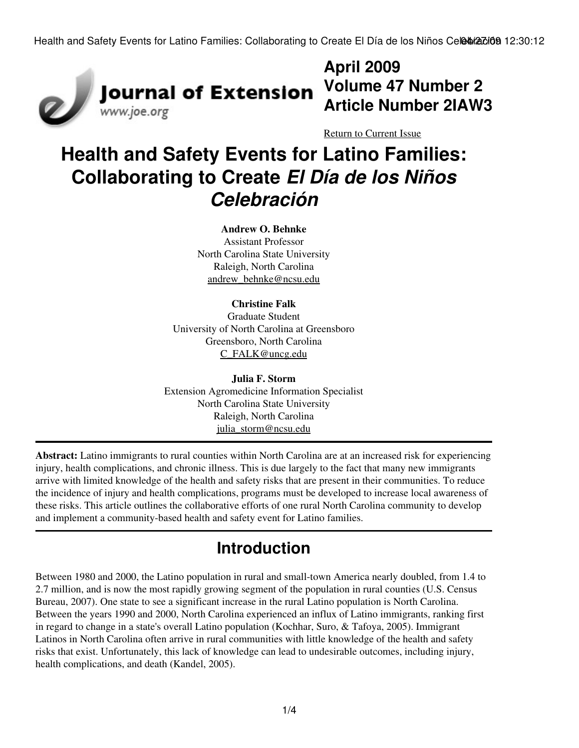

# **April 2009 Article Number 2IAW3**

[Return to Current Issue](http://www.joe.org:80/joe/2009april/)

# **Health and Safety Events for Latino Families: Collaborating to Create** *El Día de los Niños Celebración*

#### **Andrew O. Behnke**

Assistant Professor North Carolina State University Raleigh, North Carolina [andrew\\_behnke@ncsu.edu](mailto:andrew_behnke@ncsu.edu)

#### **Christine Falk**

Graduate Student University of North Carolina at Greensboro Greensboro, North Carolina [C\\_FALK@uncg.edu](mailto:C_FALK@uncg.edu)

**Julia F. Storm** Extension Agromedicine Information Specialist North Carolina State University Raleigh, North Carolina [julia\\_storm@ncsu.edu](mailto:julia_storm@ncsu.edu)

**Abstract:** Latino immigrants to rural counties within North Carolina are at an increased risk for experiencing injury, health complications, and chronic illness. This is due largely to the fact that many new immigrants arrive with limited knowledge of the health and safety risks that are present in their communities. To reduce the incidence of injury and health complications, programs must be developed to increase local awareness of these risks. This article outlines the collaborative efforts of one rural North Carolina community to develop and implement a community-based health and safety event for Latino families.

### **Introduction**

Between 1980 and 2000, the Latino population in rural and small-town America nearly doubled, from 1.4 to 2.7 million, and is now the most rapidly growing segment of the population in rural counties (U.S. Census Bureau, 2007). One state to see a significant increase in the rural Latino population is North Carolina. Between the years 1990 and 2000, North Carolina experienced an influx of Latino immigrants, ranking first in regard to change in a state's overall Latino population (Kochhar, Suro, & Tafoya, 2005). Immigrant Latinos in North Carolina often arrive in rural communities with little knowledge of the health and safety risks that exist. Unfortunately, this lack of knowledge can lead to undesirable outcomes, including injury, health complications, and death (Kandel, 2005).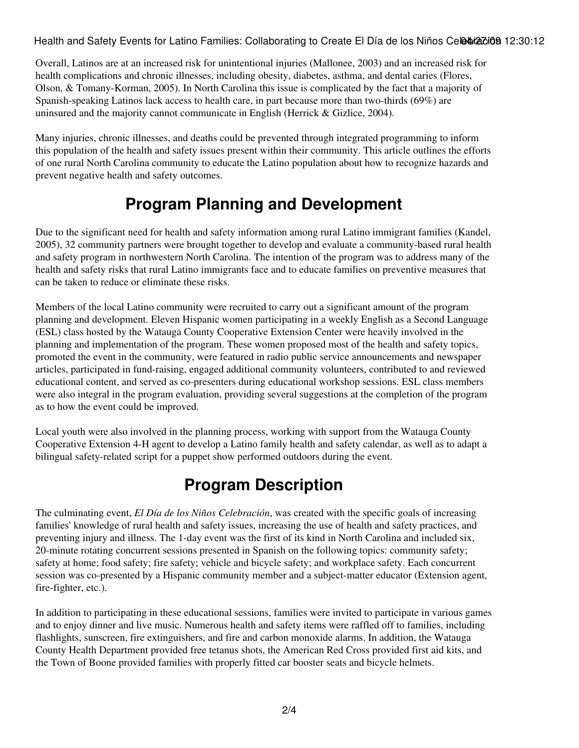Health and Safety Events for Latino Families: Collaborating to Create El Día de los Niños Celebra dioa 12:30:12

Overall, Latinos are at an increased risk for unintentional injuries (Mallonee, 2003) and an increased risk for health complications and chronic illnesses, including obesity, diabetes, asthma, and dental caries (Flores, Olson, & Tomany-Korman, 2005). In North Carolina this issue is complicated by the fact that a majority of Spanish-speaking Latinos lack access to health care, in part because more than two-thirds (69%) are uninsured and the majority cannot communicate in English (Herrick & Gizlice, 2004).

Many injuries, chronic illnesses, and deaths could be prevented through integrated programming to inform this population of the health and safety issues present within their community. This article outlines the efforts of one rural North Carolina community to educate the Latino population about how to recognize hazards and prevent negative health and safety outcomes.

### **Program Planning and Development**

Due to the significant need for health and safety information among rural Latino immigrant families (Kandel, 2005), 32 community partners were brought together to develop and evaluate a community-based rural health and safety program in northwestern North Carolina. The intention of the program was to address many of the health and safety risks that rural Latino immigrants face and to educate families on preventive measures that can be taken to reduce or eliminate these risks.

Members of the local Latino community were recruited to carry out a significant amount of the program planning and development. Eleven Hispanic women participating in a weekly English as a Second Language (ESL) class hosted by the Watauga County Cooperative Extension Center were heavily involved in the planning and implementation of the program. These women proposed most of the health and safety topics, promoted the event in the community, were featured in radio public service announcements and newspaper articles, participated in fund-raising, engaged additional community volunteers, contributed to and reviewed educational content, and served as co-presenters during educational workshop sessions. ESL class members were also integral in the program evaluation, providing several suggestions at the completion of the program as to how the event could be improved.

Local youth were also involved in the planning process, working with support from the Watauga County Cooperative Extension 4-H agent to develop a Latino family health and safety calendar, as well as to adapt a bilingual safety-related script for a puppet show performed outdoors during the event.

#### **Program Description**

The culminating event, *El Día de los Niños Celebración*, was created with the specific goals of increasing families' knowledge of rural health and safety issues, increasing the use of health and safety practices, and preventing injury and illness. The 1-day event was the first of its kind in North Carolina and included six, 20-minute rotating concurrent sessions presented in Spanish on the following topics: community safety; safety at home; food safety; fire safety; vehicle and bicycle safety; and workplace safety. Each concurrent session was co-presented by a Hispanic community member and a subject-matter educator (Extension agent, fire-fighter, etc.).

In addition to participating in these educational sessions, families were invited to participate in various games and to enjoy dinner and live music. Numerous health and safety items were raffled off to families, including flashlights, sunscreen, fire extinguishers, and fire and carbon monoxide alarms. In addition, the Watauga County Health Department provided free tetanus shots, the American Red Cross provided first aid kits, and the Town of Boone provided families with properly fitted car booster seats and bicycle helmets.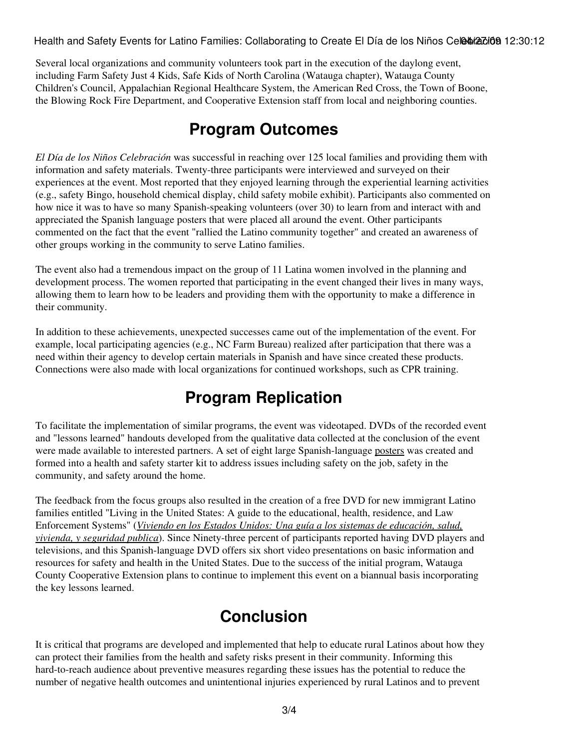Health and Safety Events for Latino Families: Collaborating to Create El Día de los Niños Celebra dioa 12:30:12

Several local organizations and community volunteers took part in the execution of the daylong event, including Farm Safety Just 4 Kids, Safe Kids of North Carolina (Watauga chapter), Watauga County Children's Council, Appalachian Regional Healthcare System, the American Red Cross, the Town of Boone, the Blowing Rock Fire Department, and Cooperative Extension staff from local and neighboring counties.

#### **Program Outcomes**

*El Día de los Niños Celebración* was successful in reaching over 125 local families and providing them with information and safety materials. Twenty-three participants were interviewed and surveyed on their experiences at the event. Most reported that they enjoyed learning through the experiential learning activities (e.g., safety Bingo, household chemical display, child safety mobile exhibit). Participants also commented on how nice it was to have so many Spanish-speaking volunteers (over 30) to learn from and interact with and appreciated the Spanish language posters that were placed all around the event. Other participants commented on the fact that the event "rallied the Latino community together" and created an awareness of other groups working in the community to serve Latino families.

The event also had a tremendous impact on the group of 11 Latina women involved in the planning and development process. The women reported that participating in the event changed their lives in many ways, allowing them to learn how to be leaders and providing them with the opportunity to make a difference in their community.

In addition to these achievements, unexpected successes came out of the implementation of the event. For example, local participating agencies (e.g., NC Farm Bureau) realized after participation that there was a need within their agency to develop certain materials in Spanish and have since created these products. Connections were also made with local organizations for continued workshops, such as CPR training.

## **Program Replication**

To facilitate the implementation of similar programs, the event was videotaped. DVDs of the recorded event and "lessons learned" handouts developed from the qualitative data collected at the conclusion of the event were made available to interested partners. A set of eight large Spanish-language [posters](http://www.ces.ncsu.edu/depts/fcs/Safety%20Posters.html) was created and formed into a health and safety starter kit to address issues including safety on the job, safety in the community, and safety around the home.

The feedback from the focus groups also resulted in the creation of a free DVD for new immigrant Latino families entitled "Living in the United States: A guide to the educational, health, residence, and Law Enforcement Systems" (*[Viviendo en los Estados Unidos: Una guía a los sistemas de educación, salud,](http://latinofamilies.files.wordpress.com/2008/06/immigration-dvd.jpg) [vivienda, y seguridad publica](http://latinofamilies.files.wordpress.com/2008/06/immigration-dvd.jpg)*). Since Ninety-three percent of participants reported having DVD players and televisions, and this Spanish-language DVD offers six short video presentations on basic information and resources for safety and health in the United States. Due to the success of the initial program, Watauga County Cooperative Extension plans to continue to implement this event on a biannual basis incorporating the key lessons learned.

### **Conclusion**

It is critical that programs are developed and implemented that help to educate rural Latinos about how they can protect their families from the health and safety risks present in their community. Informing this hard-to-reach audience about preventive measures regarding these issues has the potential to reduce the number of negative health outcomes and unintentional injuries experienced by rural Latinos and to prevent